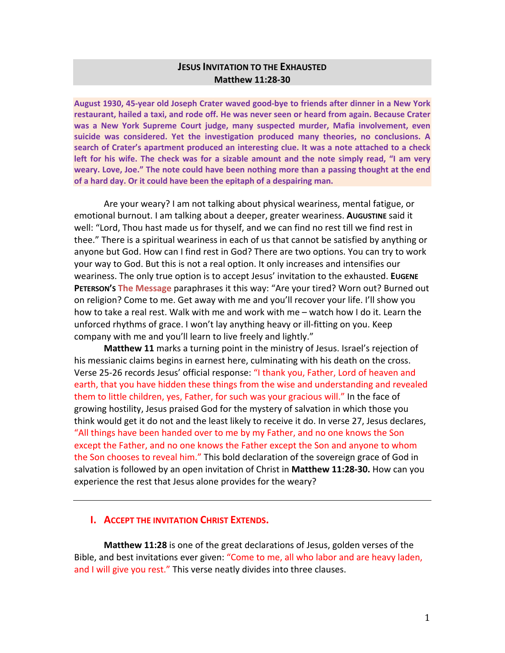# **JESUS INVITATION TO THE EXHAUSTED Matthew 11:28-30**

**August 1930, 45-year old Joseph Crater waved good-bye to friends after dinner in a New York restaurant, hailed a taxi, and rode off. He was never seen or heard from again. Because Crater was a New York Supreme Court judge, many suspected murder, Mafia involvement, even suicide was considered. Yet the investigation produced many theories, no conclusions. A search of Crater's apartment produced an interesting clue. It was a note attached to a check left for his wife. The check was for a sizable amount and the note simply read, "I am very weary. Love, Joe." The note could have been nothing more than a passing thought at the end of a hard day. Or it could have been the epitaph of a despairing man.** 

Are your weary? I am not talking about physical weariness, mental fatigue, or emotional burnout. I am talking about a deeper, greater weariness. **AUGUSTINE** said it well: "Lord, Thou hast made us for thyself, and we can find no rest till we find rest in thee." There is a spiritual weariness in each of us that cannot be satisfied by anything or anyone but God. How can I find rest in God? There are two options. You can try to work your way to God. But this is not a real option. It only increases and intensifies our weariness. The only true option is to accept Jesus' invitation to the exhausted. **EUGENE PETERSON'S The Message** paraphrases it this way: "Are your tired? Worn out? Burned out on religion? Come to me. Get away with me and you'll recover your life. I'll show you how to take a real rest. Walk with me and work with me – watch how I do it. Learn the unforced rhythms of grace. I won't lay anything heavy or ill-fitting on you. Keep company with me and you'll learn to live freely and lightly."

**Matthew 11** marks a turning point in the ministry of Jesus. Israel's rejection of his messianic claims begins in earnest here, culminating with his death on the cross. Verse 25-26 records Jesus' official response: "I thank you, Father, Lord of heaven and earth, that you have hidden these things from the wise and understanding and revealed them to little children, yes, Father, for such was your gracious will." In the face of growing hostility, Jesus praised God for the mystery of salvation in which those you think would get it do not and the least likely to receive it do. In verse 27, Jesus declares, "All things have been handed over to me by my Father, and no one knows the Son except the Father, and no one knows the Father except the Son and anyone to whom the Son chooses to reveal him." This bold declaration of the sovereign grace of God in salvation is followed by an open invitation of Christ in **Matthew 11:28-30.** How can you experience the rest that Jesus alone provides for the weary?

#### **I. ACCEPT THE INVITATION CHRIST EXTENDS.**

**Matthew 11:28** is one of the great declarations of Jesus, golden verses of the Bible, and best invitations ever given: "Come to me, all who labor and are heavy laden, and I will give you rest." This verse neatly divides into three clauses.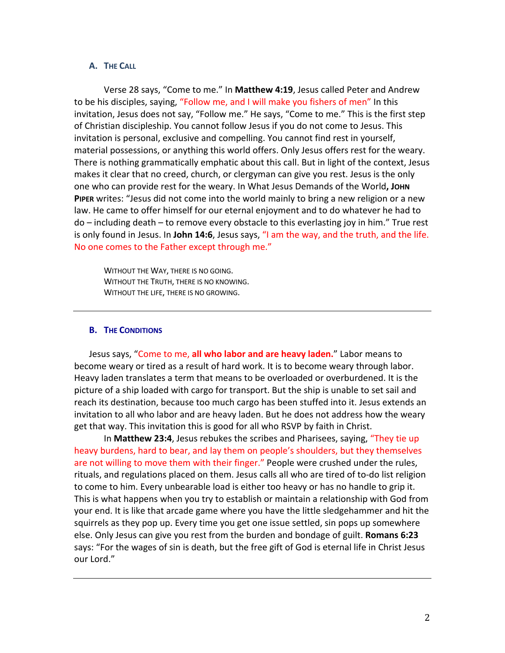#### **A. THE CALL**

Verse 28 says, "Come to me." In **Matthew 4:19**, Jesus called Peter and Andrew to be his disciples, saying, "Follow me, and I will make you fishers of men" In this invitation, Jesus does not say, "Follow me." He says, "Come to me." This is the first step of Christian discipleship. You cannot follow Jesus if you do not come to Jesus. This invitation is personal, exclusive and compelling. You cannot find rest in yourself, material possessions, or anything this world offers. Only Jesus offers rest for the weary. There is nothing grammatically emphatic about this call. But in light of the context, Jesus makes it clear that no creed, church, or clergyman can give you rest. Jesus is the only one who can provide rest for the weary. In What Jesus Demands of the World**, JOHN PIPER** writes: "Jesus did not come into the world mainly to bring a new religion or a new law. He came to offer himself for our eternal enjoyment and to do whatever he had to do – including death – to remove every obstacle to this everlasting joy in him." True rest is only found in Jesus. In **John 14:6**, Jesus says, "I am the way, and the truth, and the life. No one comes to the Father except through me."

WITHOUT THE WAY, THERE IS NO GOING. WITHOUT THE TRUTH, THERE IS NO KNOWING. WITHOUT THE LIFE, THERE IS NO GROWING.

#### **B. THE CONDITIONS**

Jesus says, "Come to me, **all who labor and are heavy laden.**" Labor means to become weary or tired as a result of hard work. It is to become weary through labor. Heavy laden translates a term that means to be overloaded or overburdened. It is the picture of a ship loaded with cargo for transport. But the ship is unable to set sail and reach its destination, because too much cargo has been stuffed into it. Jesus extends an invitation to all who labor and are heavy laden. But he does not address how the weary get that way. This invitation this is good for all who RSVP by faith in Christ.

In **Matthew 23:4**, Jesus rebukes the scribes and Pharisees, saying, "They tie up heavy burdens, hard to bear, and lay them on people's shoulders, but they themselves are not willing to move them with their finger." People were crushed under the rules, rituals, and regulations placed on them. Jesus calls all who are tired of to-do list religion to come to him. Every unbearable load is either too heavy or has no handle to grip it. This is what happens when you try to establish or maintain a relationship with God from your end. It is like that arcade game where you have the little sledgehammer and hit the squirrels as they pop up. Every time you get one issue settled, sin pops up somewhere else. Only Jesus can give you rest from the burden and bondage of guilt. **Romans 6:23** says: "For the wages of sin is death, but the free gift of God is eternal life in Christ Jesus our Lord."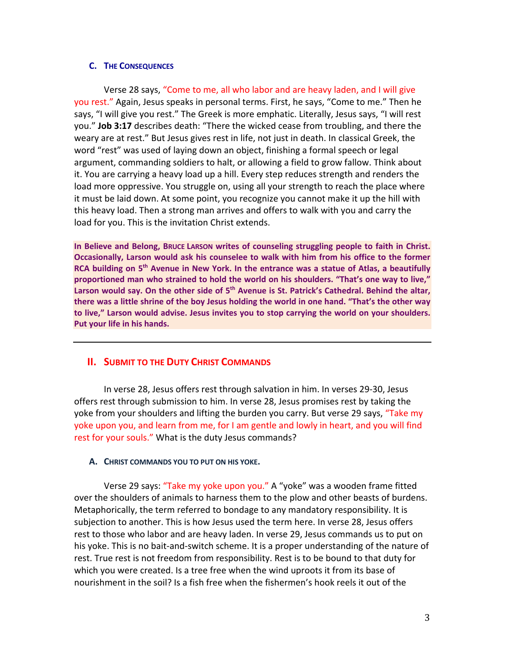## **C. THE CONSEQUENCES**

Verse 28 says, "Come to me, all who labor and are heavy laden, and I will give you rest." Again, Jesus speaks in personal terms. First, he says, "Come to me." Then he says, "I will give you rest." The Greek is more emphatic. Literally, Jesus says, "I will rest you." **Job 3:17** describes death: "There the wicked cease from troubling, and there the weary are at rest." But Jesus gives rest in life, not just in death. In classical Greek, the word "rest" was used of laying down an object, finishing a formal speech or legal argument, commanding soldiers to halt, or allowing a field to grow fallow. Think about it. You are carrying a heavy load up a hill. Every step reduces strength and renders the load more oppressive. You struggle on, using all your strength to reach the place where it must be laid down. At some point, you recognize you cannot make it up the hill with this heavy load. Then a strong man arrives and offers to walk with you and carry the load for you. This is the invitation Christ extends.

**In Believe and Belong, BRUCE LARSON writes of counseling struggling people to faith in Christ. Occasionally, Larson would ask his counselee to walk with him from his office to the former RCA building on 5th Avenue in New York. In the entrance was a statue of Atlas, a beautifully proportioned man who strained to hold the world on his shoulders. "That's one way to live,"**  Larson would say. On the other side of 5<sup>th</sup> Avenue is St. Patrick's Cathedral. Behind the altar, **there was a little shrine of the boy Jesus holding the world in one hand. "That's the other way to live," Larson would advise. Jesus invites you to stop carrying the world on your shoulders. Put your life in his hands.** 

# **II. SUBMIT TO THE DUTY CHRIST COMMANDS**

In verse 28, Jesus offers rest through salvation in him. In verses 29-30, Jesus offers rest through submission to him. In verse 28, Jesus promises rest by taking the yoke from your shoulders and lifting the burden you carry. But verse 29 says, "Take my yoke upon you, and learn from me, for I am gentle and lowly in heart, and you will find rest for your souls." What is the duty Jesus commands?

### **A. CHRIST COMMANDS YOU TO PUT ON HIS YOKE.**

Verse 29 says: "Take my yoke upon you." A "yoke" was a wooden frame fitted over the shoulders of animals to harness them to the plow and other beasts of burdens. Metaphorically, the term referred to bondage to any mandatory responsibility. It is subjection to another. This is how Jesus used the term here. In verse 28, Jesus offers rest to those who labor and are heavy laden. In verse 29, Jesus commands us to put on his yoke. This is no bait-and-switch scheme. It is a proper understanding of the nature of rest. True rest is not freedom from responsibility. Rest is to be bound to that duty for which you were created. Is a tree free when the wind uproots it from its base of nourishment in the soil? Is a fish free when the fishermen's hook reels it out of the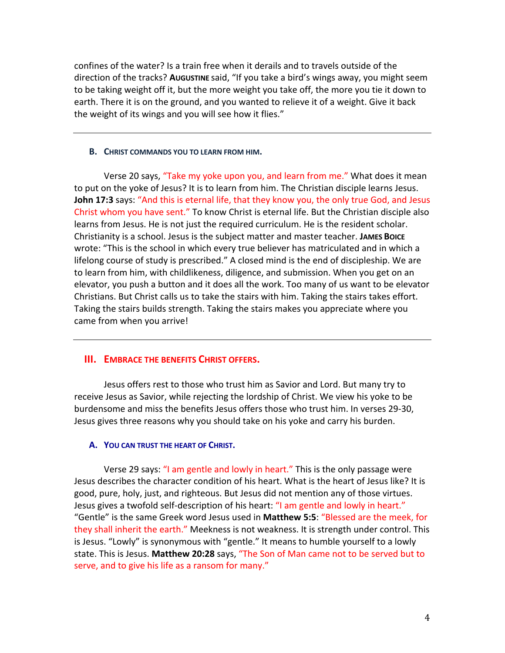confines of the water? Is a train free when it derails and to travels outside of the direction of the tracks? **AUGUSTINE** said, "If you take a bird's wings away, you might seem to be taking weight off it, but the more weight you take off, the more you tie it down to earth. There it is on the ground, and you wanted to relieve it of a weight. Give it back the weight of its wings and you will see how it flies."

### **B. CHRIST COMMANDS YOU TO LEARN FROM HIM.**

Verse 20 says, "Take my yoke upon you, and learn from me." What does it mean to put on the yoke of Jesus? It is to learn from him. The Christian disciple learns Jesus. **John 17:3** says: "And this is eternal life, that they know you, the only true God, and Jesus Christ whom you have sent." To know Christ is eternal life. But the Christian disciple also learns from Jesus. He is not just the required curriculum. He is the resident scholar. Christianity is a school. Jesus is the subject matter and master teacher. **JAMES BOICE** wrote: "This is the school in which every true believer has matriculated and in which a lifelong course of study is prescribed." A closed mind is the end of discipleship. We are to learn from him, with childlikeness, diligence, and submission. When you get on an elevator, you push a button and it does all the work. Too many of us want to be elevator Christians. But Christ calls us to take the stairs with him. Taking the stairs takes effort. Taking the stairs builds strength. Taking the stairs makes you appreciate where you came from when you arrive!

# **III. EMBRACE THE BENEFITS CHRIST OFFERS.**

Jesus offers rest to those who trust him as Savior and Lord. But many try to receive Jesus as Savior, while rejecting the lordship of Christ. We view his yoke to be burdensome and miss the benefits Jesus offers those who trust him. In verses 29-30, Jesus gives three reasons why you should take on his yoke and carry his burden.

## **A. YOU CAN TRUST THE HEART OF CHRIST.**

Verse 29 says: "I am gentle and lowly in heart." This is the only passage were Jesus describes the character condition of his heart. What is the heart of Jesus like? It is good, pure, holy, just, and righteous. But Jesus did not mention any of those virtues. Jesus gives a twofold self-description of his heart: "I am gentle and lowly in heart." "Gentle" is the same Greek word Jesus used in **Matthew 5:5**: "Blessed are the meek, for they shall inherit the earth." Meekness is not weakness. It is strength under control. This is Jesus. "Lowly" is synonymous with "gentle." It means to humble yourself to a lowly state. This is Jesus. **Matthew 20:28** says, "The Son of Man came not to be served but to serve, and to give his life as a ransom for many."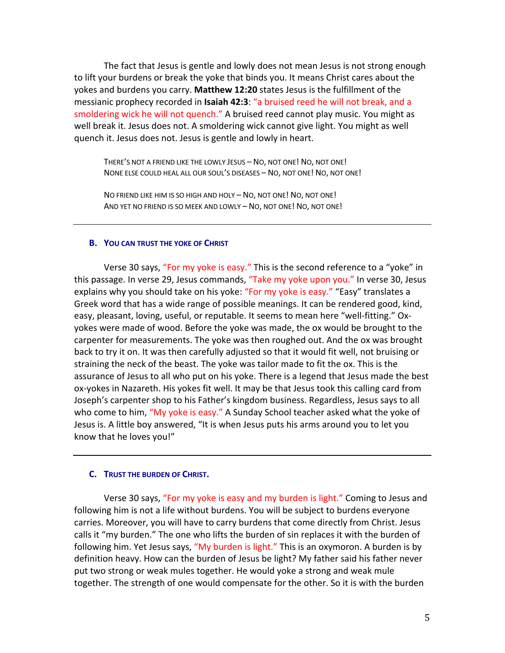The fact that Jesus is gentle and lowly does not mean Jesus is not strong enough to lift your burdens or break the yoke that binds you. It means Christ cares about the yokes and burdens you carry. **Matthew 12:20** states Jesus is the fulfillment of the messianic prophecy recorded in **Isaiah 42:3**: "a bruised reed he will not break, and a smoldering wick he will not quench." A bruised reed cannot play music. You might as well break it. Jesus does not. A smoldering wick cannot give light. You might as well quench it. Jesus does not. Jesus is gentle and lowly in heart.

THERE'S NOT A FRIEND LIKE THE LOWLY JESUS – NO, NOT ONE! NO, NOT ONE! NONE ELSE COULD HEAL ALL OUR SOUL'S DISEASES – NO, NOT ONE! NO, NOT ONE!

NO FRIEND LIKE HIM IS SO HIGH AND HOLY – NO, NOT ONE! NO, NOT ONE! AND YET NO FRIEND IS SO MEEK AND LOWLY – NO, NOT ONE! NO, NOT ONE!

#### **B. YOU CAN TRUST THE YOKE OF CHRIST**

Verse 30 says, "For my yoke is easy." This is the second reference to a "yoke" in this passage. In verse 29, Jesus commands, "Take my yoke upon you." In verse 30, Jesus explains why you should take on his yoke: "For my yoke is easy." "Easy" translates a Greek word that has a wide range of possible meanings. It can be rendered good, kind, easy, pleasant, loving, useful, or reputable. It seems to mean here "well-fitting." Oxyokes were made of wood. Before the yoke was made, the ox would be brought to the carpenter for measurements. The yoke was then roughed out. And the ox was brought back to try it on. It was then carefully adjusted so that it would fit well, not bruising or straining the neck of the beast. The yoke was tailor made to fit the ox. This is the assurance of Jesus to all who put on his yoke. There is a legend that Jesus made the best ox-yokes in Nazareth. His yokes fit well. It may be that Jesus took this calling card from Joseph's carpenter shop to his Father's kingdom business. Regardless, Jesus says to all who come to him, "My yoke is easy." A Sunday School teacher asked what the yoke of Jesus is. A little boy answered, "It is when Jesus puts his arms around you to let you know that he loves you!"

#### **C. TRUST THE BURDEN OF CHRIST.**

Verse 30 says, "For my yoke is easy and my burden is light." Coming to Jesus and following him is not a life without burdens. You will be subject to burdens everyone carries. Moreover, you will have to carry burdens that come directly from Christ. Jesus calls it "my burden." The one who lifts the burden of sin replaces it with the burden of following him. Yet Jesus says, "My burden is light." This is an oxymoron. A burden is by definition heavy. How can the burden of Jesus be light? My father said his father never put two strong or weak mules together. He would yoke a strong and weak mule together. The strength of one would compensate for the other. So it is with the burden